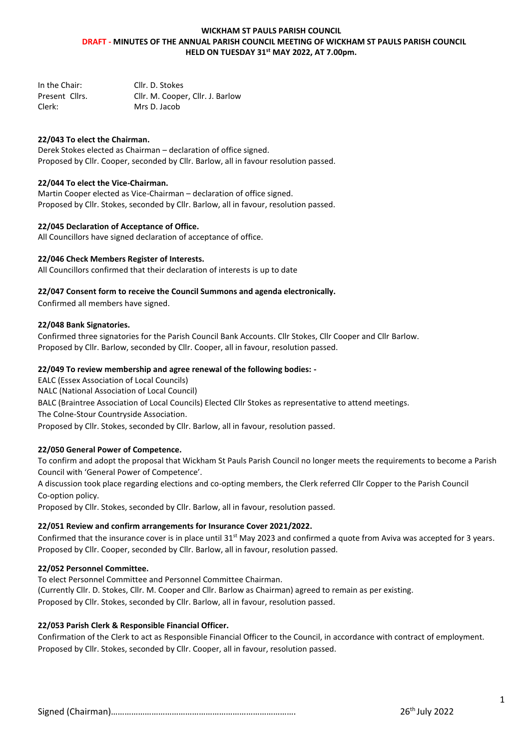## **WICKHAM ST PAULS PARISH COUNCIL DRAFT - MINUTES OF THE ANNUAL PARISH COUNCIL MEETING OF WICKHAM ST PAULS PARISH COUNCIL HELD ON TUESDAY 31st MAY 2022, AT 7.00pm.**

| In the Chair:  | Cllr. D. Stokes                  |
|----------------|----------------------------------|
| Present Cllrs. | Cllr. M. Cooper, Cllr. J. Barlow |
| Clerk:         | Mrs D. Jacob                     |

## **22/043 To elect the Chairman.**

Derek Stokes elected as Chairman – declaration of office signed. Proposed by Cllr. Cooper, seconded by Cllr. Barlow, all in favour resolution passed.

### **22/044 To elect the Vice-Chairman.**

Martin Cooper elected as Vice-Chairman – declaration of office signed. Proposed by Cllr. Stokes, seconded by Cllr. Barlow, all in favour, resolution passed.

#### **22/045 Declaration of Acceptance of Office.**

All Councillors have signed declaration of acceptance of office.

### **22/046 Check Members Register of Interests.**

All Councillors confirmed that their declaration of interests is up to date

#### **22/047 Consent form to receive the Council Summons and agenda electronically.**

Confirmed all members have signed.

### **22/048 Bank Signatories.**

Confirmed three signatories for the Parish Council Bank Accounts. Cllr Stokes, Cllr Cooper and Cllr Barlow. Proposed by Cllr. Barlow, seconded by Cllr. Cooper, all in favour, resolution passed.

#### **22/049 To review membership and agree renewal of the following bodies: -**

EALC (Essex Association of Local Councils) NALC (National Association of Local Council)

BALC (Braintree Association of Local Councils) Elected Cllr Stokes as representative to attend meetings.

The Colne-Stour Countryside Association.

Proposed by Cllr. Stokes, seconded by Cllr. Barlow, all in favour, resolution passed.

## **22/050 General Power of Competence.**

To confirm and adopt the proposal that Wickham St Pauls Parish Council no longer meets the requirements to become a Parish Council with 'General Power of Competence'.

A discussion took place regarding elections and co-opting members, the Clerk referred Cllr Copper to the Parish Council Co-option policy.

Proposed by Cllr. Stokes, seconded by Cllr. Barlow, all in favour, resolution passed.

#### **22/051 Review and confirm arrangements for Insurance Cover 2021/2022.**

Confirmed that the insurance cover is in place until 31<sup>st</sup> May 2023 and confirmed a quote from Aviva was accepted for 3 years. Proposed by Cllr. Cooper, seconded by Cllr. Barlow, all in favour, resolution passed.

## **22/052 Personnel Committee.**

To elect Personnel Committee and Personnel Committee Chairman. (Currently Cllr. D. Stokes, Cllr. M. Cooper and Cllr. Barlow as Chairman) agreed to remain as per existing. Proposed by Cllr. Stokes, seconded by Cllr. Barlow, all in favour, resolution passed.

## **22/053 Parish Clerk & Responsible Financial Officer.**

Confirmation of the Clerk to act as Responsible Financial Officer to the Council, in accordance with contract of employment. Proposed by Cllr. Stokes, seconded by Cllr. Cooper, all in favour, resolution passed.